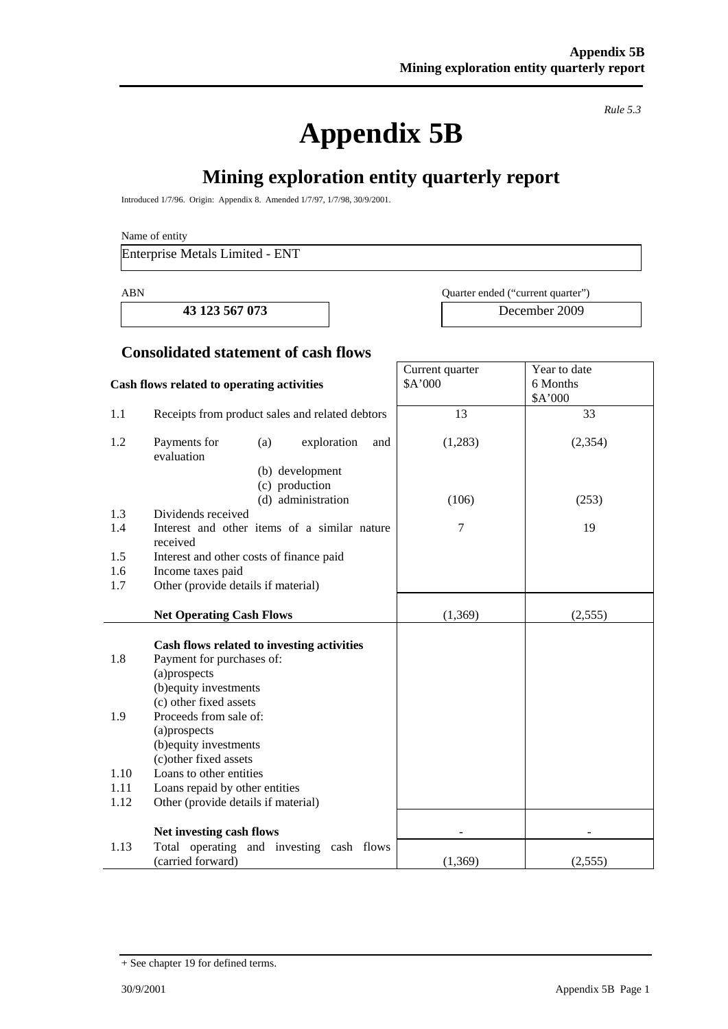**Appendix 5B** 

*Rule 5.3* 

# **Mining exploration entity quarterly report**

Introduced 1/7/96. Origin: Appendix 8. Amended 1/7/97, 1/7/98, 30/9/2001.

Name of entity

Enterprise Metals Limited - ENT

**43 123 567 073** December 2009

ABN Quarter ended ("current quarter")

Current quarter \$A'000

Year to date 6 Months

### **Consolidated statement of cash flows**

#### **Cash flows related to operating activities**

|      |                                                          |         | \$A'000  |
|------|----------------------------------------------------------|---------|----------|
| 1.1  | Receipts from product sales and related debtors          | 13      | 33       |
| 1.2  | Payments for<br>(a)<br>exploration<br>and<br>evaluation  | (1,283) | (2, 354) |
|      | (b) development                                          |         |          |
|      | (c) production                                           |         |          |
|      | (d) administration                                       | (106)   | (253)    |
| 1.3  | Dividends received                                       |         |          |
| 1.4  | Interest and other items of a similar nature<br>received | $\tau$  | 19       |
| 1.5  | Interest and other costs of finance paid                 |         |          |
| 1.6  | Income taxes paid                                        |         |          |
| 1.7  | Other (provide details if material)                      |         |          |
|      |                                                          |         |          |
|      | <b>Net Operating Cash Flows</b>                          | (1,369) | (2,555)  |
|      |                                                          |         |          |
|      | Cash flows related to investing activities               |         |          |
| 1.8  | Payment for purchases of:                                |         |          |
|      | (a)prospects                                             |         |          |
|      | (b) equity investments<br>(c) other fixed assets         |         |          |
| 1.9  | Proceeds from sale of:                                   |         |          |
|      | (a)prospects                                             |         |          |
|      | (b) equity investments                                   |         |          |
|      | (c) other fixed assets                                   |         |          |
| 1.10 | Loans to other entities                                  |         |          |
| 1.11 | Loans repaid by other entities                           |         |          |
| 1.12 | Other (provide details if material)                      |         |          |
|      |                                                          |         |          |
|      | Net investing cash flows                                 |         |          |
| 1.13 | Total operating and investing cash flows                 |         |          |
|      | (carried forward)                                        | (1,369) | (2,555)  |

<sup>+</sup> See chapter 19 for defined terms.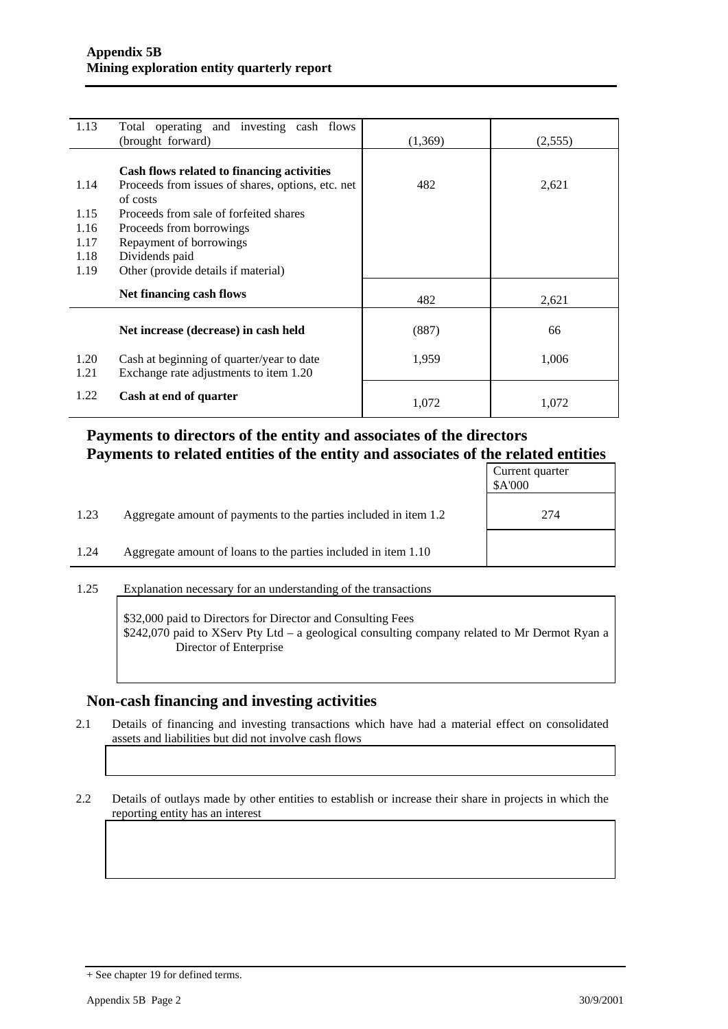| 1.13 | Total operating and investing cash flows<br>(brought forward) | (1,369) | (2,555) |
|------|---------------------------------------------------------------|---------|---------|
|      |                                                               |         |         |
|      | Cash flows related to financing activities                    |         |         |
| 1.14 | Proceeds from issues of shares, options, etc. net             | 482     | 2,621   |
|      | of costs                                                      |         |         |
| 1.15 | Proceeds from sale of forfeited shares                        |         |         |
| 1.16 | Proceeds from borrowings                                      |         |         |
| 1.17 | Repayment of borrowings                                       |         |         |
| 1.18 | Dividends paid                                                |         |         |
| 1.19 | Other (provide details if material)                           |         |         |
|      | Net financing cash flows                                      |         |         |
|      |                                                               | 482     | 2,621   |
|      |                                                               |         |         |
|      | Net increase (decrease) in cash held                          | (887)   | 66      |
| 1.20 | Cash at beginning of quarter/year to date                     | 1,959   | 1,006   |
| 1.21 | Exchange rate adjustments to item 1.20                        |         |         |
|      |                                                               |         |         |
| 1.22 | Cash at end of quarter                                        | 1,072   | 1,072   |
|      |                                                               |         |         |

## **Payments to directors of the entity and associates of the directors Payments to related entities of the entity and associates of the related entities**

|      |                                                                  | Current quarter<br>\$A'000 |
|------|------------------------------------------------------------------|----------------------------|
| 1.23 | Aggregate amount of payments to the parties included in item 1.2 | 274                        |
| 1.24 | Aggregate amount of loans to the parties included in item 1.10   |                            |
|      |                                                                  |                            |

1.25 Explanation necessary for an understanding of the transactions

\$32,000 paid to Directors for Director and Consulting Fees \$242,070 paid to XServ Pty Ltd – a geological consulting company related to Mr Dermot Ryan a Director of Enterprise

## **Non-cash financing and investing activities**

2.1 Details of financing and investing transactions which have had a material effect on consolidated assets and liabilities but did not involve cash flows

2.2 Details of outlays made by other entities to establish or increase their share in projects in which the reporting entity has an interest

<sup>+</sup> See chapter 19 for defined terms.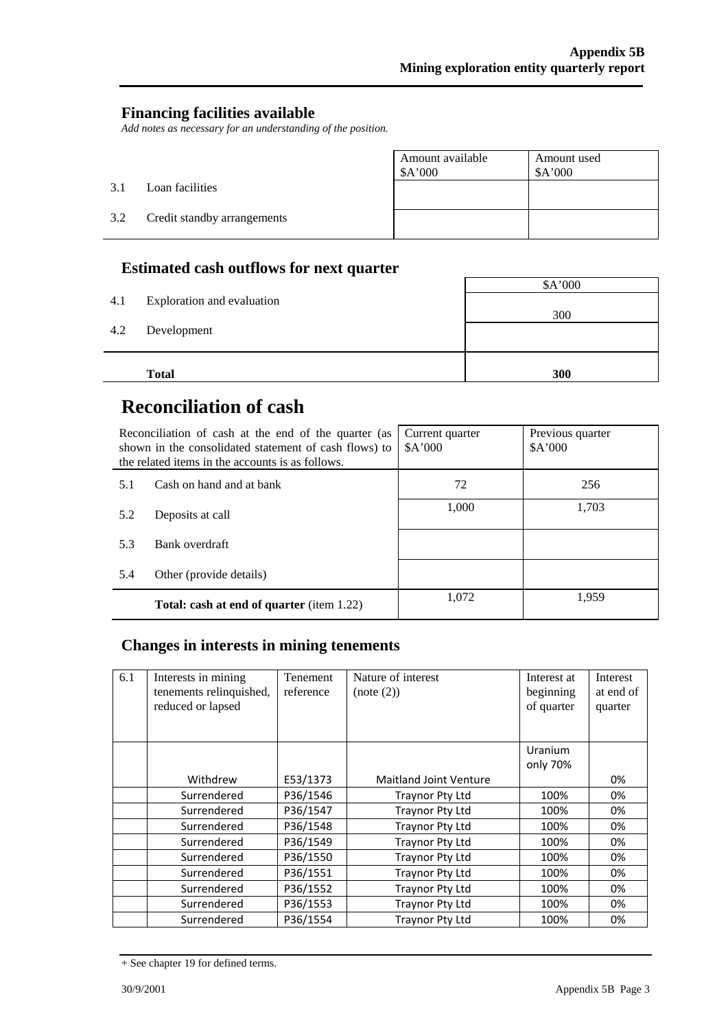## **Financing facilities available**

*Add notes as necessary for an understanding of the position.* 

|     |                             | Amount available<br>\$A'000 | Amount used<br>\$A'000 |
|-----|-----------------------------|-----------------------------|------------------------|
| 3.1 | Loan facilities             |                             |                        |
| 3.2 | Credit standby arrangements |                             |                        |

## **Estimated cash outflows for next quarter**

|     | <b>Total</b>               | 300     |
|-----|----------------------------|---------|
| 4.2 | Development                |         |
| 4.1 | Exploration and evaluation | 300     |
|     |                            | \$A'000 |

# **Reconciliation of cash**

j.

| Reconciliation of cash at the end of the quarter (as<br>shown in the consolidated statement of cash flows) to<br>the related items in the accounts is as follows. |                                                  | Current quarter<br>A'000 | Previous quarter<br>A'000 |
|-------------------------------------------------------------------------------------------------------------------------------------------------------------------|--------------------------------------------------|--------------------------|---------------------------|
| 5.1                                                                                                                                                               | Cash on hand and at bank                         | 72                       | 256                       |
| 5.2                                                                                                                                                               | Deposits at call                                 | 1,000                    | 1,703                     |
| 5.3                                                                                                                                                               | Bank overdraft                                   |                          |                           |
| 5.4                                                                                                                                                               | Other (provide details)                          |                          |                           |
|                                                                                                                                                                   | <b>Total: cash at end of quarter</b> (item 1.22) | 1.072                    | 1.959                     |

## **Changes in interests in mining tenements**

| 6.1 | Interests in mining<br>tenements relinquished,<br>reduced or lapsed | Tenement<br>reference | Nature of interest<br>(note (2)) | Interest at<br>beginning<br>of quarter | <b>Interest</b><br>at end of<br>quarter |
|-----|---------------------------------------------------------------------|-----------------------|----------------------------------|----------------------------------------|-----------------------------------------|
|     |                                                                     |                       |                                  | Uranium<br>only 70%                    |                                         |
|     | Withdrew                                                            | E53/1373              | Maitland Joint Venture           |                                        | 0%                                      |
|     | Surrendered                                                         | P36/1546              | Traynor Pty Ltd                  | 100%                                   | 0%                                      |
|     | Surrendered                                                         | P36/1547              | Traynor Pty Ltd                  | 100%                                   | 0%                                      |
|     | Surrendered                                                         | P36/1548              | Traynor Pty Ltd                  | 100%                                   | 0%                                      |
|     | Surrendered                                                         | P36/1549              | Traynor Pty Ltd                  | 100%                                   | 0%                                      |
|     | Surrendered                                                         | P36/1550              | Traynor Pty Ltd                  | 100%                                   | 0%                                      |
|     | Surrendered                                                         | P36/1551              | Traynor Pty Ltd                  | 100%                                   | 0%                                      |
|     | Surrendered                                                         | P36/1552              | Traynor Pty Ltd                  | 100%                                   | 0%                                      |
|     | Surrendered                                                         | P36/1553              | Traynor Pty Ltd                  | 100%                                   | 0%                                      |
|     | Surrendered                                                         | P36/1554              | Traynor Pty Ltd                  | 100%                                   | 0%                                      |

<sup>+</sup> See chapter 19 for defined terms.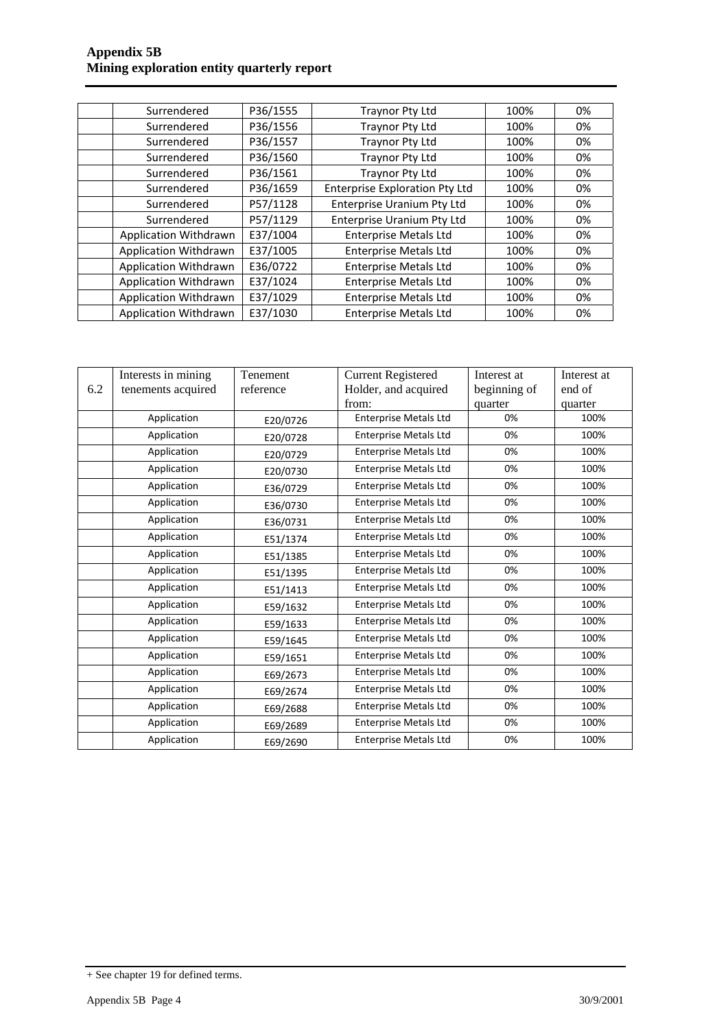#### **Appendix 5B Mining exploration entity quarterly report**

| Surrendered                  | P36/1555 | <b>Traynor Pty Ltd</b>                | 100% | 0% |
|------------------------------|----------|---------------------------------------|------|----|
| Surrendered                  | P36/1556 | Traynor Pty Ltd                       | 100% | 0% |
| Surrendered                  | P36/1557 | <b>Traynor Pty Ltd</b>                | 100% | 0% |
| Surrendered                  | P36/1560 | Traynor Pty Ltd                       | 100% | 0% |
| Surrendered                  | P36/1561 | Traynor Pty Ltd                       | 100% | 0% |
| Surrendered                  | P36/1659 | <b>Enterprise Exploration Pty Ltd</b> | 100% | 0% |
| Surrendered                  | P57/1128 | <b>Enterprise Uranium Pty Ltd</b>     | 100% | 0% |
| Surrendered                  | P57/1129 | <b>Enterprise Uranium Pty Ltd</b>     | 100% | 0% |
| Application Withdrawn        | E37/1004 | <b>Enterprise Metals Ltd</b>          | 100% | 0% |
| Application Withdrawn        | E37/1005 | <b>Enterprise Metals Ltd</b>          | 100% | 0% |
| Application Withdrawn        | E36/0722 | <b>Enterprise Metals Ltd</b>          | 100% | 0% |
| <b>Application Withdrawn</b> | E37/1024 | <b>Enterprise Metals Ltd</b>          | 100% | 0% |
| Application Withdrawn        | E37/1029 | <b>Enterprise Metals Ltd</b>          | 100% | 0% |
| Application Withdrawn        | E37/1030 | <b>Enterprise Metals Ltd</b>          | 100% | 0% |

|     | Interests in mining | Tenement  | <b>Current Registered</b>    | Interest at  | Interest at |
|-----|---------------------|-----------|------------------------------|--------------|-------------|
| 6.2 | tenements acquired  | reference | Holder, and acquired         | beginning of | end of      |
|     |                     |           | from:                        | quarter      | quarter     |
|     | Application         | E20/0726  | <b>Enterprise Metals Ltd</b> | 0%           | 100%        |
|     | Application         | E20/0728  | Enterprise Metals Ltd        | 0%           | 100%        |
|     | Application         | E20/0729  | <b>Enterprise Metals Ltd</b> | 0%           | 100%        |
|     | Application         | E20/0730  | <b>Enterprise Metals Ltd</b> | 0%           | 100%        |
|     | Application         | E36/0729  | <b>Enterprise Metals Ltd</b> | 0%           | 100%        |
|     | Application         | E36/0730  | <b>Enterprise Metals Ltd</b> | 0%           | 100%        |
|     | Application         | E36/0731  | <b>Enterprise Metals Ltd</b> | 0%           | 100%        |
|     | Application         | E51/1374  | <b>Enterprise Metals Ltd</b> | 0%           | 100%        |
|     | Application         | E51/1385  | <b>Enterprise Metals Ltd</b> | 0%           | 100%        |
|     | Application         | E51/1395  | <b>Enterprise Metals Ltd</b> | 0%           | 100%        |
|     | Application         | E51/1413  | <b>Enterprise Metals Ltd</b> | 0%           | 100%        |
|     | Application         | E59/1632  | <b>Enterprise Metals Ltd</b> | 0%           | 100%        |
|     | Application         | E59/1633  | <b>Enterprise Metals Ltd</b> | 0%           | 100%        |
|     | Application         | E59/1645  | <b>Enterprise Metals Ltd</b> | 0%           | 100%        |
|     | Application         | E59/1651  | <b>Enterprise Metals Ltd</b> | 0%           | 100%        |
|     | Application         | E69/2673  | <b>Enterprise Metals Ltd</b> | 0%           | 100%        |
|     | Application         | E69/2674  | <b>Enterprise Metals Ltd</b> | 0%           | 100%        |
|     | Application         | E69/2688  | <b>Enterprise Metals Ltd</b> | 0%           | 100%        |
|     | Application         | E69/2689  | <b>Enterprise Metals Ltd</b> | 0%           | 100%        |
|     | Application         | E69/2690  | <b>Enterprise Metals Ltd</b> | 0%           | 100%        |

<sup>+</sup> See chapter 19 for defined terms.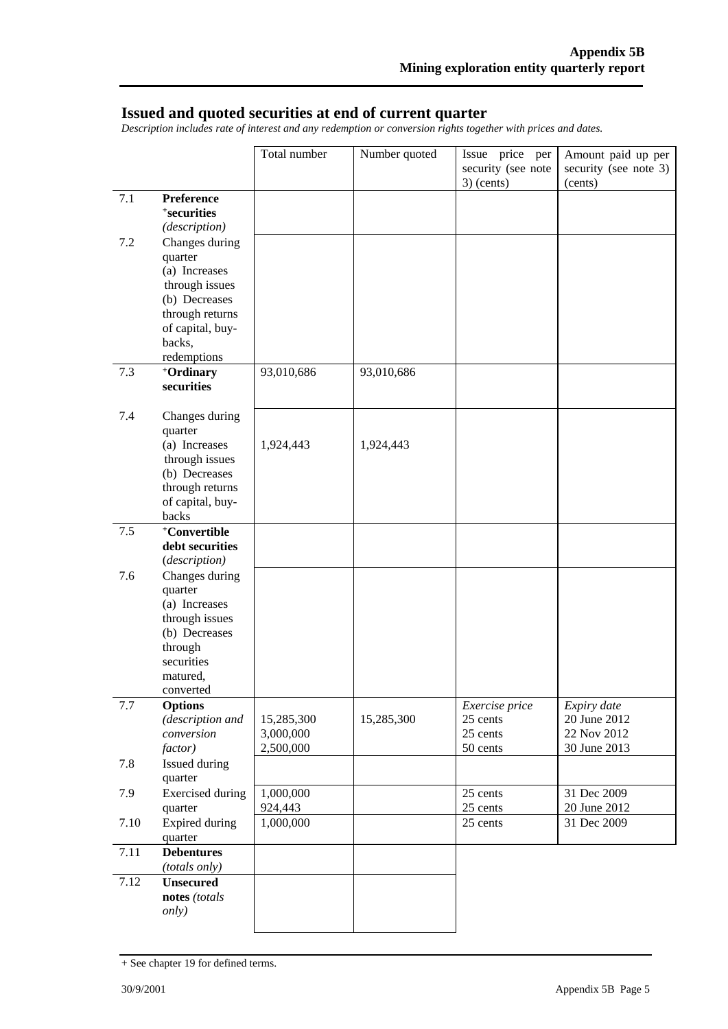### **Issued and quoted securities at end of current quarter**

*Description includes rate of interest and any redemption or conversion rights together with prices and dates.* 

|      |                                                                                                                                               | Total number                         | Number quoted | Issue price per<br>security (see note<br>$3)$ (cents) | Amount paid up per<br>security (see note 3)<br>(cents)     |
|------|-----------------------------------------------------------------------------------------------------------------------------------------------|--------------------------------------|---------------|-------------------------------------------------------|------------------------------------------------------------|
| 7.1  | Preference<br>+securities<br>(description)                                                                                                    |                                      |               |                                                       |                                                            |
| 7.2  | Changes during<br>quarter<br>(a) Increases<br>through issues<br>(b) Decreases<br>through returns<br>of capital, buy-<br>backs,<br>redemptions |                                      |               |                                                       |                                                            |
| 7.3  | +Ordinary<br>securities                                                                                                                       | 93,010,686                           | 93,010,686    |                                                       |                                                            |
| 7.4  | Changes during<br>quarter<br>(a) Increases<br>through issues<br>(b) Decreases<br>through returns<br>of capital, buy-<br>backs                 | 1,924,443                            | 1,924,443     |                                                       |                                                            |
| 7.5  | +Convertible<br>debt securities<br>(description)                                                                                              |                                      |               |                                                       |                                                            |
| 7.6  | Changes during<br>quarter<br>(a) Increases<br>through issues<br>(b) Decreases<br>through<br>securities<br>matured,<br>converted               |                                      |               |                                                       |                                                            |
| 7.7  | <b>Options</b><br>(description and<br>conversion<br>factor)                                                                                   | 15,285,300<br>3,000,000<br>2,500,000 | 15,285,300    | Exercise price<br>25 cents<br>25 cents<br>50 cents    | Expiry date<br>20 June 2012<br>22 Nov 2012<br>30 June 2013 |
| 7.8  | Issued during<br>quarter                                                                                                                      |                                      |               |                                                       |                                                            |
| 7.9  | <b>Exercised</b> during<br>quarter                                                                                                            | 1,000,000<br>924,443                 |               | 25 cents<br>25 cents                                  | 31 Dec 2009<br>20 June 2012                                |
| 7.10 | Expired during<br>quarter                                                                                                                     | 1,000,000                            |               | 25 cents                                              | 31 Dec 2009                                                |
| 7.11 | <b>Debentures</b><br>(totals only)                                                                                                            |                                      |               |                                                       |                                                            |
| 7.12 | <b>Unsecured</b><br>notes (totals<br><i>only</i> )                                                                                            |                                      |               |                                                       |                                                            |

<sup>+</sup> See chapter 19 for defined terms.